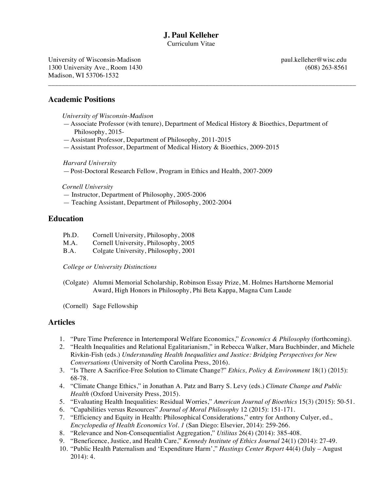# **J. Paul Kelleher**

Curriculum Vitae

University of Wisconsin-Madison **paul.kelleher@wisc.edu** 1300 University Ave., Room 1430 (608) 263-8561 Madison, WI 53706-1532

#### **Academic Positions**

*University of Wisconsin-Madison*

—Associate Professor (with tenure), Department of Medical History & Bioethics, Department of Philosophy, 2015-

\_\_\_\_\_\_\_\_\_\_\_\_\_\_\_\_\_\_\_\_\_\_\_\_\_\_\_\_\_\_\_\_\_\_\_\_\_\_\_\_\_\_\_\_\_\_\_\_\_\_\_\_\_\_\_\_\_\_\_\_\_\_\_\_\_\_\_\_\_\_\_\_\_\_\_\_\_\_\_\_\_\_\_\_\_\_\_\_\_\_

- —Assistant Professor, Department of Philosophy, 2011-2015
- —Assistant Professor, Department of Medical History & Bioethics, 2009-2015

*Harvard University*

—Post-Doctoral Research Fellow, Program in Ethics and Health, 2007-2009

*Cornell University*

- Instructor, Department of Philosophy, 2005-2006
- Teaching Assistant, Department of Philosophy, 2002-2004

## **Education**

| Ph.D. | Cornell University, Philosophy, 2008 |
|-------|--------------------------------------|
|-------|--------------------------------------|

- M.A. Cornell University, Philosophy, 2005
- B.A. Colgate University, Philosophy, 2001

*College or University Distinctions*

(Colgate) Alumni Memorial Scholarship, Robinson Essay Prize, M. Holmes Hartshorne Memorial Award, High Honors in Philosophy, Phi Beta Kappa, Magna Cum Laude

(Cornell) Sage Fellowship

#### **Articles**

- 1. "Pure Time Preference in Intertemporal Welfare Economics," *Economics & Philosophy* (forthcoming).
- 2. "Health Inequalities and Relational Egalitarianism," in Rebecca Walker, Mara Buchbinder, and Michele Rivkin-Fish (eds.) *Understanding Health Inequalities and Justice: Bridging Perspectives for New Conversations* (University of North Carolina Press, 2016).
- 3. "Is There A Sacrifice-Free Solution to Climate Change?" *Ethics, Policy & Environment* 18(1) (2015): 68-78.
- 4. "Climate Change Ethics," in Jonathan A. Patz and Barry S. Levy (eds.) *Climate Change and Public Health* (Oxford University Press, 2015).
- 5. "Evaluating Health Inequalities: Residual Worries," *American Journal of Bioethics* 15(3) (2015): 50-51.
- 6. "Capabilities versus Resources" *Journal of Moral Philosophy* 12 (2015): 151-171.
- 7. "Efficiency and Equity in Health: Philosophical Considerations," entry for Anthony Culyer, ed., *Encyclopedia of Health Economics Vol. 1* (San Diego: Elsevier, 2014): 259-266.
- 8. "Relevance and Non-Consequentialist Aggregation," *Utilitas* 26(4) (2014): 385-408.
- 9. "Beneficence, Justice, and Health Care," *Kennedy Institute of Ethics Journal* 24(1) (2014): 27-49.
- 10. "Public Health Paternalism and 'Expenditure Harm'," *Hastings Center Report* 44(4) (July August 2014): 4.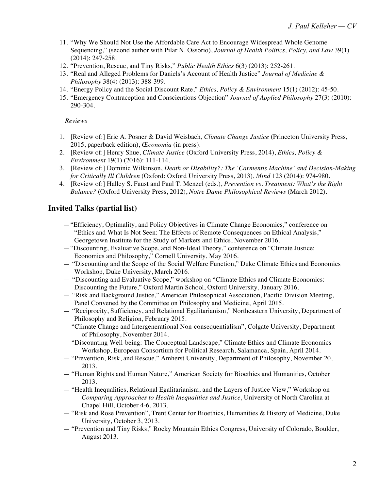- 11. "Why We Should Not Use the Affordable Care Act to Encourage Widespread Whole Genome Sequencing," (second author with Pilar N. Ossorio), *Journal of Health Politics, Policy, and Law* 39(1) (2014): 247-258.
- 12. "Prevention, Rescue, and Tiny Risks," *Public Health Ethics* 6(3) (2013): 252-261.
- 13. "Real and Alleged Problems for Daniels's Account of Health Justice" *Journal of Medicine & Philosophy* 38(4) (2013): 388-399.
- 14. "Energy Policy and the Social Discount Rate," *Ethics, Policy & Environment* 15(1) (2012): 45-50.
- 15. "Emergency Contraception and Conscientious Objection" *Journal of Applied Philosophy* 27(3) (2010): 290-304.

*Reviews*

- 1. [Review of:] Eric A. Posner & David Weisbach, *Climate Change Justice* (Princeton University Press, 2015, paperback edition), *Œconomia* (in press).
- 2. [Review of:] Henry Shue, *Climate Justice* (Oxford University Press, 2014), *Ethics, Policy & Environment* 19(1) (2016): 111-114.
- 3. [Review of:] Dominic Wilkinson, *Death or Disability?: The 'Carmentis Machine' and Decision-Making for Critically Ill Children* (Oxford: Oxford University Press, 2013), *Mind* 123 (2014): 974-980.
- 4. [Review of:] Halley S. Faust and Paul T. Menzel (eds.), *Prevention vs. Treatment: What's the Right Balance?* (Oxford University Press, 2012), *Notre Dame Philosophical Reviews* (March 2012).

## **Invited Talks (partial list)**

- —"Efficiency, Optimality, and Policy Objectives in Climate Change Economics," conference on "Ethics and What Is Not Seen: The Effects of Remote Consequences on Ethical Analysis," Georgetown Institute for the Study of Markets and Ethics, November 2016.
- —"Discounting, Evaluative Scope, and Non-Ideal Theory," conference on "Climate Justice: Economics and Philosophy," Cornell University, May 2016.
- "Discounting and the Scope of the Social Welfare Function," Duke Climate Ethics and Economics Workshop, Duke University, March 2016.
- "Discounting and Evaluative Scope," workshop on "Climate Ethics and Climate Economics: Discounting the Future," Oxford Martin School, Oxford University, January 2016.
- "Risk and Background Justice," American Philosophical Association, Pacific Division Meeting, Panel Convened by the Committee on Philosophy and Medicine, April 2015.
- "Reciprocity, Sufficiency, and Relational Egalitarianism," Northeastern University, Department of Philosophy and Religion, February 2015.
- "Climate Change and Intergenerational Non-consequentialism", Colgate University, Department of Philosophy, November 2014.
- "Discounting Well-being: The Conceptual Landscape," Climate Ethics and Climate Economics Workshop, European Consortium for Political Research, Salamanca, Spain, April 2014.
- "Prevention, Risk, and Rescue," Amherst University, Department of Philosophy, November 20, 2013.
- "Human Rights and Human Nature," American Society for Bioethics and Humanities, October 2013.
- "Health Inequalities, Relational Egalitarianism, and the Layers of Justice View," Workshop on *Comparing Approaches to Health Inequalities and Justice*, University of North Carolina at Chapel Hill, October 4-6, 2013.
- "Risk and Rose Prevention", Trent Center for Bioethics, Humanities & History of Medicine, Duke University, October 3, 2013.
- "Prevention and Tiny Risks," Rocky Mountain Ethics Congress, University of Colorado, Boulder, August 2013.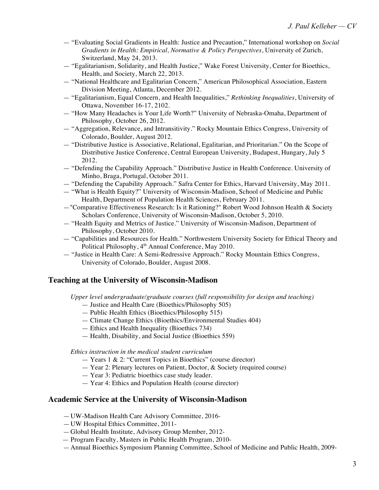- "Evaluating Social Gradients in Health: Justice and Precaution," International workshop on *Social Gradients in Health: Empirical, Normative & Policy Perspectives*, University of Zurich, Switzerland, May 24, 2013.
- "Egalitarianism, Solidarity, and Health Justice," Wake Forest University, Center for Bioethics, Health, and Society, March 22, 2013.
- "National Healthcare and Egalitarian Concern," American Philosophical Association, Eastern Division Meeting, Atlanta, December 2012.
- "Egalitarianism, Equal Concern, and Health Inequalities," *Rethinking Inequalities*, University of Ottawa, November 16-17, 2102.
- "How Many Headaches is Your Life Worth?" University of Nebraska-Omaha, Department of Philosophy, October 26, 2012.
- "Aggregation, Relevance, and Intransitivity." Rocky Mountain Ethics Congress, University of Colorado, Boulder, August 2012.
- "Distributive Justice is Associative, Relational, Egalitarian, and Prioritarian." On the Scope of Distributive Justice Conference, Central European University, Budapest, Hungary, July 5 2012.
- "Defending the Capability Approach." Distributive Justice in Health Conference. University of Minho, Braga, Portugal, October 2011.
- "Defending the Capability Approach." Safra Center for Ethics, Harvard University, May 2011.
- "What is Health Equity?" University of Wisconsin-Madison, School of Medicine and Public Health, Department of Population Health Sciences, February 2011.
- —"Comparative Effectiveness Research: Is it Rationing?" Robert Wood Johnson Health & Society Scholars Conference, University of Wisconsin-Madison, October 5, 2010.
- "Health Equity and Metrics of Justice." University of Wisconsin-Madison, Department of Philosophy, October 2010.
- "Capabilities and Resources for Health." Northwestern University Society for Ethical Theory and Political Philosophy,  $4<sup>th</sup>$  Annual Conference, May 2010.
- "Justice in Health Care: A Semi-Redressive Approach." Rocky Mountain Ethics Congress, University of Colorado, Boulder, August 2008.

#### **Teaching at the University of Wisconsin-Madison**

*Upper level undergraduate/graduate courses (full responsibility for design and teaching)*

- Justice and Health Care (Bioethics/Philosophy 505)
- Public Health Ethics (Bioethics/Philosophy 515)
- Climate Change Ethics (Bioethics/Environmental Studies 404)
- Ethics and Health Inequality (Bioethics 734)
- Health, Disability, and Social Justice (Bioethics 559)

*Ethics instruction in the medical student curriculum*

- Years 1 & 2: "Current Topics in Bioethics" (course director)
- Year 2: Plenary lectures on Patient, Doctor, & Society (required course)
- Year 3: Pediatric bioethics case study leader.
- Year 4: Ethics and Population Health (course director)

## **Academic Service at the University of Wisconsin-Madison**

- —UW-Madison Health Care Advisory Committee, 2016-
- —UW Hospital Ethics Committee, 2011-
- —Global Health Institute, Advisory Group Member, 2012-
- Program Faculty, Masters in Public Health Program, 2010-
- —Annual Bioethics Symposium Planning Committee, School of Medicine and Public Health, 2009-